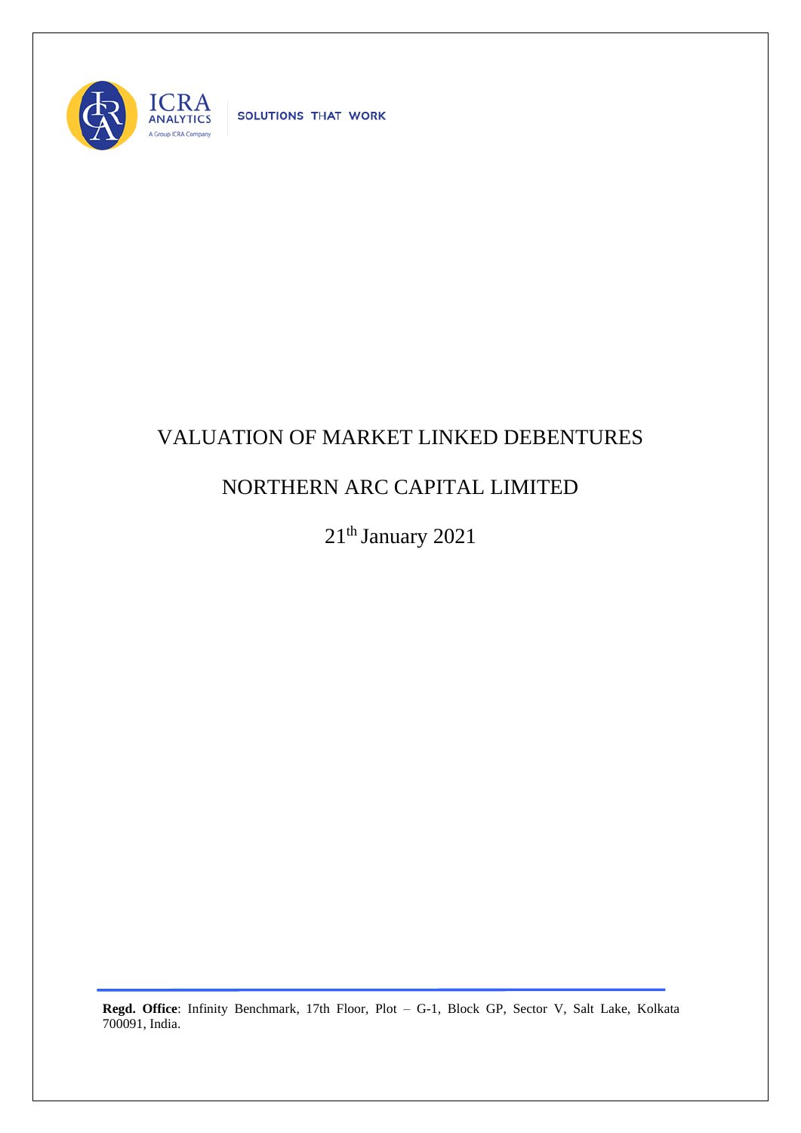

SOLUTIONS THAT WORK

## VALUATION OF MARKET LINKED DEBENTURES

## NORTHERN ARC CAPITAL LIMITED

21<sup>th</sup> January 2021

**Regd. Office**: Infinity Benchmark, 17th Floor, Plot – G-1, Block GP, Sector V, Salt Lake, Kolkata 700091, India.